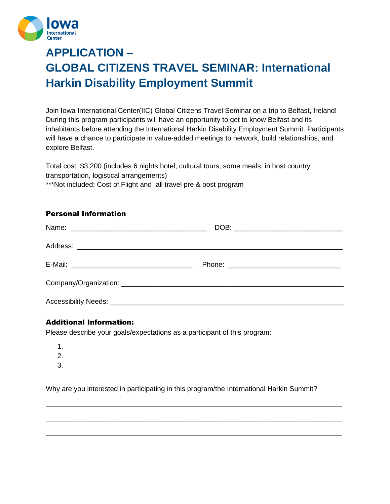

# **APPLICATION – GLOBAL CITIZENS TRAVEL SEMINAR: International Harkin Disability Employment Summit**

Join Iowa International Center(IIC) Global Citizens Travel Seminar on a trip to Belfast, Ireland! During this program participants will have an opportunity to get to know Belfast and its inhabitants before attending the International Harkin Disability Employment Summit. Participants will have a chance to participate in value-added meetings to network, build relationships, and explore Belfast.

Total cost: \$3,200 (includes 6 nights hotel, cultural tours, some meals, in host country transportation, logistical arrangements)

\*\*\*Not included: Cost of Flight and all travel pre & post program

## Personal Information

## Additional Information:

Please describe your goals/expectations as a participant of this program:

- 1.
- 2.
- 3.

Why are you interested in participating in this program/the International Harkin Summit?

\_\_\_\_\_\_\_\_\_\_\_\_\_\_\_\_\_\_\_\_\_\_\_\_\_\_\_\_\_\_\_\_\_\_\_\_\_\_\_\_\_\_\_\_\_\_\_\_\_\_\_\_\_\_\_\_\_\_\_\_\_\_\_\_\_\_\_\_\_\_\_\_\_\_\_\_

\_\_\_\_\_\_\_\_\_\_\_\_\_\_\_\_\_\_\_\_\_\_\_\_\_\_\_\_\_\_\_\_\_\_\_\_\_\_\_\_\_\_\_\_\_\_\_\_\_\_\_\_\_\_\_\_\_\_\_\_\_\_\_\_\_\_\_\_\_\_\_\_\_\_\_\_

\_\_\_\_\_\_\_\_\_\_\_\_\_\_\_\_\_\_\_\_\_\_\_\_\_\_\_\_\_\_\_\_\_\_\_\_\_\_\_\_\_\_\_\_\_\_\_\_\_\_\_\_\_\_\_\_\_\_\_\_\_\_\_\_\_\_\_\_\_\_\_\_\_\_\_\_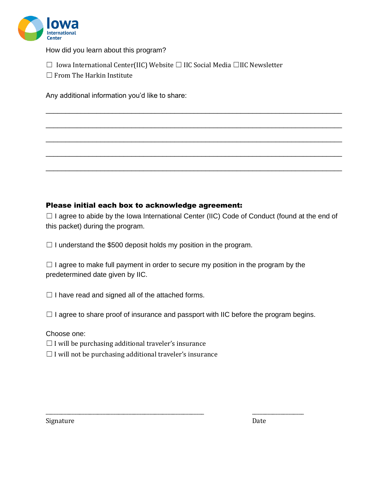

How did you learn about this program?

☐ Iowa International Center(IIC) Website ☐ IIC Social Media ☐IIC Newsletter

 $\Box$  From The Harkin Institute

Any additional information you'd like to share:

## Please initial each box to acknowledge agreement:

 $\Box$  I agree to abide by the Iowa International Center (IIC) Code of Conduct (found at the end of this packet) during the program.

\_\_\_\_\_\_\_\_\_\_\_\_\_\_\_\_\_\_\_\_\_\_\_\_\_\_\_\_\_\_\_\_\_\_\_\_\_\_\_\_\_\_\_\_\_\_\_\_\_\_\_\_\_\_\_\_\_\_\_\_\_\_\_\_\_\_\_\_\_\_\_\_\_\_\_\_

\_\_\_\_\_\_\_\_\_\_\_\_\_\_\_\_\_\_\_\_\_\_\_\_\_\_\_\_\_\_\_\_\_\_\_\_\_\_\_\_\_\_\_\_\_\_\_\_\_\_\_\_\_\_\_\_\_\_\_\_\_\_\_\_\_\_\_\_\_\_\_\_\_\_\_\_

\_\_\_\_\_\_\_\_\_\_\_\_\_\_\_\_\_\_\_\_\_\_\_\_\_\_\_\_\_\_\_\_\_\_\_\_\_\_\_\_\_\_\_\_\_\_\_\_\_\_\_\_\_\_\_\_\_\_\_\_\_\_\_\_\_\_\_\_\_\_\_\_\_\_\_\_

\_\_\_\_\_\_\_\_\_\_\_\_\_\_\_\_\_\_\_\_\_\_\_\_\_\_\_\_\_\_\_\_\_\_\_\_\_\_\_\_\_\_\_\_\_\_\_\_\_\_\_\_\_\_\_\_\_\_\_\_\_\_\_\_\_\_\_\_\_\_\_\_\_\_\_\_

\_\_\_\_\_\_\_\_\_\_\_\_\_\_\_\_\_\_\_\_\_\_\_\_\_\_\_\_\_\_\_\_\_\_\_\_\_\_\_\_\_\_\_\_\_\_\_\_\_\_\_\_\_\_\_\_\_\_\_\_\_\_\_\_\_\_\_\_\_\_\_\_\_\_\_\_

 $\Box$  I understand the \$500 deposit holds my position in the program.

 $\Box$  I agree to make full payment in order to secure my position in the program by the predetermined date given by IIC.

 $\Box$  I have read and signed all of the attached forms.

 $\Box$  I agree to share proof of insurance and passport with IIC before the program begins.

\_\_\_\_\_\_\_\_\_\_\_\_\_\_\_\_\_\_\_\_\_\_\_\_\_\_\_\_\_\_\_\_\_\_\_\_\_\_\_\_\_\_\_\_\_\_\_\_\_\_\_\_\_\_\_\_\_\_\_\_\_ \_\_\_\_\_\_\_\_\_\_\_\_\_\_\_\_\_\_\_\_

Choose one:

 $\Box$  I will be purchasing additional traveler's insurance

 $\Box$  I will not be purchasing additional traveler's insurance

Signature Date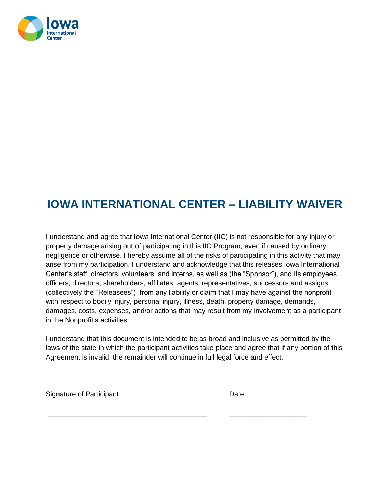

# **IOWA INTERNATIONAL CENTER – LIABILITY WAIVER**

I understand and agree that Iowa International Center (IIC) is not responsible for any injury or property damage arising out of participating in this IIC Program, even if caused by ordinary negligence or otherwise. I hereby assume all of the risks of participating in this activity that may arise from my participation. I understand and acknowledge that this releases Iowa International Center's staff, directors, volunteers, and interns, as well as (the "Sponsor"), and its employees, officers, directors, shareholders, affiliates, agents, representatives, successors and assigns (collectively the "Releasees") from any liability or claim that I may have against the nonprofit with respect to bodily injury, personal injury, illness, death, property damage, demands, damages, costs, expenses, and/or actions that may result from my involvement as a participant in the Nonprofit's activities.

I understand that this document is intended to be as broad and inclusive as permitted by the laws of the state in which the participant activities take place and agree that if any portion of this Agreement is invalid, the remainder will continue in full legal force and effect.

Signature of Participant Date Date

\_\_\_\_\_\_\_\_\_\_\_\_\_\_\_\_\_\_\_\_\_\_\_\_\_\_\_\_\_\_\_\_\_\_\_\_\_\_\_\_\_ \_\_\_\_\_\_\_\_\_\_\_\_\_\_\_\_\_\_\_\_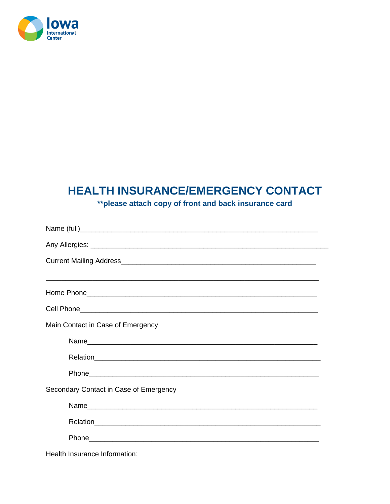

## HEALTH INSURANCE/EMERGENCY CONTACT

\*\* please attach copy of front and back insurance card

| Main Contact in Case of Emergency      |
|----------------------------------------|
|                                        |
|                                        |
|                                        |
| Secondary Contact in Case of Emergency |
|                                        |
|                                        |
|                                        |
| Health Insurance Information:          |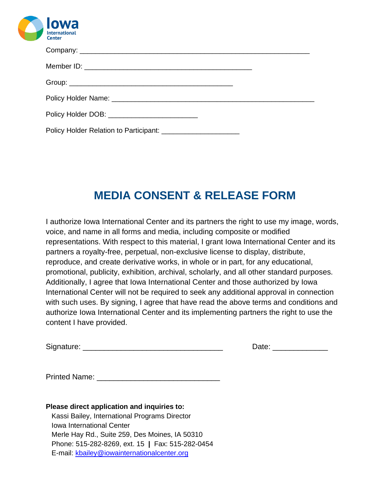

| Policy Holder DOB: _____________________________                |  |
|-----------------------------------------------------------------|--|
| Policy Holder Relation to Participant: ________________________ |  |

# **MEDIA CONSENT & RELEASE FORM**

I authorize Iowa International Center and its partners the right to use my image, words, voice, and name in all forms and media, including composite or modified representations. With respect to this material, I grant Iowa International Center and its partners a royalty-free, perpetual, non-exclusive license to display, distribute, reproduce, and create derivative works, in whole or in part, for any educational, promotional, publicity, exhibition, archival, scholarly, and all other standard purposes. Additionally, I agree that Iowa International Center and those authorized by Iowa International Center will not be required to seek any additional approval in connection with such uses. By signing, I agree that have read the above terms and conditions and authorize Iowa International Center and its implementing partners the right to use the content I have provided.

| Signature: |  |
|------------|--|
|            |  |

Date:  $\Box$ 

Printed Name: \_\_\_\_\_\_\_\_\_\_\_\_\_\_\_\_\_\_\_\_\_\_\_\_\_\_\_\_\_

**Please direct application and inquiries to:** Kassi Bailey, International Programs Director Iowa International Center Merle Hay Rd., Suite 259, Des Moines, IA 50310 Phone: 515-282-8269, ext. 15 **|** Fax: 515-282-0454 E-mail: [kbailey@iowainternationalcenter.org](about:blank)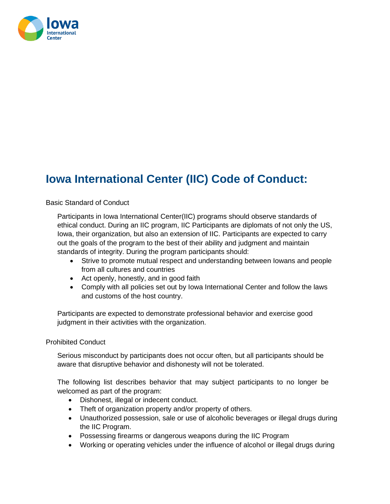

# **Iowa International Center (IIC) Code of Conduct:**

### Basic Standard of Conduct

Participants in Iowa International Center(IIC) programs should observe standards of ethical conduct. During an IIC program, IIC Participants are diplomats of not only the US, Iowa, their organization, but also an extension of IIC. Participants are expected to carry out the goals of the program to the best of their ability and judgment and maintain standards of integrity. During the program participants should:

- Strive to promote mutual respect and understanding between Iowans and people from all cultures and countries
- Act openly, honestly, and in good faith
- Comply with all policies set out by Iowa International Center and follow the laws and customs of the host country.

Participants are expected to demonstrate professional behavior and exercise good judgment in their activities with the organization.

#### Prohibited Conduct

Serious misconduct by participants does not occur often, but all participants should be aware that disruptive behavior and dishonesty will not be tolerated.

The following list describes behavior that may subject participants to no longer be welcomed as part of the program:

- Dishonest, illegal or indecent conduct.
- Theft of organization property and/or property of others.
- Unauthorized possession, sale or use of alcoholic beverages or illegal drugs during the IIC Program.
- Possessing firearms or dangerous weapons during the IIC Program
- Working or operating vehicles under the influence of alcohol or illegal drugs during